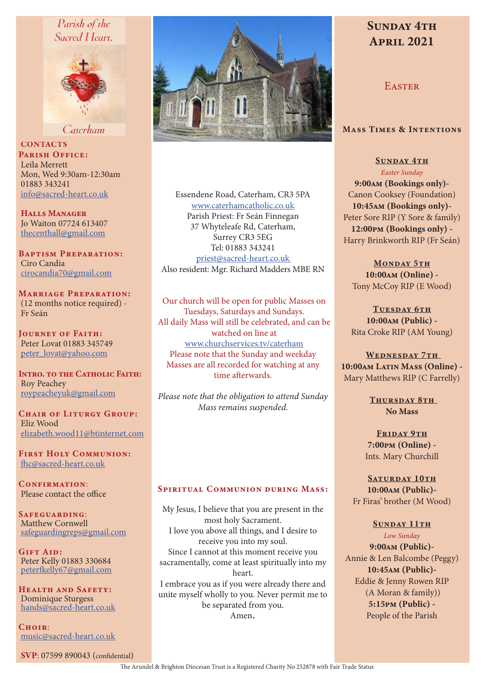## Parish of the Sacred Heart.



Caterham

**CONTACTS** PARISH OFFICE: Leila Merrett Mon, Wed 9:30am-12:30am 01883 343241 info@sacred-heart.co.uk

Halls Manager Jo Waiton 07724 613407 thecenthall@gmail.com

Baptism Preparation: Ciro Candia cirocandia70@gmail.com

Marriage Preparation: (12 months notice required) - Fr Seán

Journey of Faith: Peter Lovat 01883 345749 peter\_lovat@yahoo.com

INTRO. TO THE CATHOLIC FAITH: Roy Peachey roypeacheyuk@gmail.com

CHAIR OF LITURGY GROUP: Eliz Wood elizabeth.wood11@btinternet.com

First Holy Communion: fhc@sacred-heart.co.uk

CONFIRMATION: Please contact the office

SAFEGUARDING: Matthew Cornwell safeguardingreps@gmail.com

Gift Aid: Peter Kelly 01883 330684 peterfkelly67@gmail.com

Health and Safety: Dominique Sturgess hands@sacred-heart.co.uk

 $C$ HOIR $\cdot$ music@sacred-heart.co.uk

SVP: 07599 890043 (confidential)



Essendene Road, Caterham, CR3 5PA www.caterhamcatholic.co.uk Parish Priest: Fr Seán Finnegan 37 Whyteleafe Rd, Caterham, Surrey CR3 5EG Tel: 01883 343241 priest@sacred-heart.co.uk Also resident: Mgr. Richard Madders MBE RN

Our church will be open for public Masses on Tuesdays, Saturdays and Sundays. All daily Mass will still be celebrated, and can be watched on line at www.churchservices.tv/caterham Please note that the Sunday and weekday Masses are all recorded for watching at any time afterwards.

*Please note that the obligation to attend Sunday Mass remains suspended.*

#### SPIRITUAL COMMUNION DURING MASS:

My Jesus, I believe that you are present in the most holy Sacrament. I love you above all things, and I desire to receive you into my soul. Since I cannot at this moment receive you sacramentally, come at least spiritually into my heart. I embrace you as if you were already there and unite myself wholly to you. Never permit me to be separated from you.

Amen.

# SUNDAY 4TH April 2021

**EASTER** 

#### Mass Times & Intentions

SUNDAY 4TH *Easter Sunday* 9:00am (Bookings only)- Canon Cooksey (Foundation) 10:45am (Bookings only)-

Peter Sore RIP (Y Sore & family) 12:00pm (Bookings only) - Harry Brinkworth RIP (Fr Seán)

MONDAY 5TH 10:00am (Online) - Tony McCoy RIP (E Wood)

TUESDAY 6TH 10:00am (Public) - Rita Croke RIP (AM Young)

WEDNESDAY 7TH 10:00am Latin Mass (Online) -Mary Matthews RIP (C Farrelly)

> Thursday 8th No Mass

FRIDAY 9TH 7:00pm (Online) - Ints. Mary Churchill

SATURDAY 10TH 10:00am (Public)- Fr Firas' brother (M Wood)

#### SUNDAY 11TH

*Low Sunday* 9:00am (Public)-

Annie & Len Balcombe (Peggy) 10:45am (Public)- Eddie & Jenny Rowen RIP (A Moran & family)) 5:15pm (Public) - People of the Parish